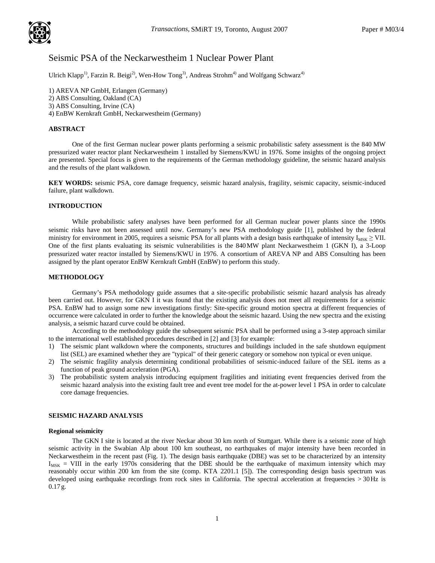

# Seismic PSA of the Neckarwestheim 1 Nuclear Power Plant

Ulrich Klapp<sup>1)</sup>, Farzin R. Beigi<sup>2)</sup>, Wen-How Tong<sup>3)</sup>, Andreas Strohm<sup>4)</sup> and Wolfgang Schwarz<sup>4)</sup>

1) AREVA NP GmbH, Erlangen (Germany) 2) ABS Consulting, Oakland (CA) 3) ABS Consulting, Irvine (CA) 4) EnBW Kernkraft GmbH, Neckarwestheim (Germany)

# **ABSTRACT**

One of the first German nuclear power plants performing a seismic probabilistic safety assessment is the 840 MW pressurized water reactor plant Neckarwestheim 1 installed by Siemens/KWU in 1976. Some insights of the ongoing project are presented. Special focus is given to the requirements of the German methodology guideline, the seismic hazard analysis and the results of the plant walkdown.

**KEY WORDS:** seismic PSA, core damage frequency, seismic hazard analysis, fragility, seismic capacity, seismic-induced failure, plant walkdown.

## **INTRODUCTION**

While probabilistic safety analyses have been performed for all German nuclear power plants since the 1990s seismic risks have not been assessed until now. Germany's new PSA methodology guide [1], published by the federal ministry for environment in 2005, requires a seismic PSA for all plants with a design basis earthquake of intensity  $I_{MSK} \geq VII$ . One of the first plants evaluating its seismic vulnerabilities is the 840MW plant Neckarwestheim 1 (GKN I), a 3-Loop pressurized water reactor installed by Siemens/KWU in 1976. A consortium of AREVA NP and ABS Consulting has been assigned by the plant operator EnBW Kernkraft GmbH (EnBW) to perform this study.

# **METHODOLOGY**

Germany's PSA methodology guide assumes that a site-specific probabilistic seismic hazard analysis has already been carried out. However, for GKN I it was found that the existing analysis does not meet all requirements for a seismic PSA. EnBW had to assign some new investigations firstly: Site-specific ground motion spectra at different frequencies of occurrence were calculated in order to further the knowledge about the seismic hazard. Using the new spectra and the existing analysis, a seismic hazard curve could be obtained.

According to the methodology guide the subsequent seismic PSA shall be performed using a 3-step approach similar to the international well established procedures described in [2] and [3] for example:

- 1) The seismic plant walkdown where the components, structures and buildings included in the safe shutdown equipment list (SEL) are examined whether they are "typical" of their generic category or somehow non typical or even unique.
- 2) The seismic fragility analysis determining conditional probabilities of seismic-induced failure of the SEL items as a function of peak ground acceleration (PGA).
- 3) The probabilistic system analysis introducing equipment fragilities and initiating event frequencies derived from the seismic hazard analysis into the existing fault tree and event tree model for the at-power level 1 PSA in order to calculate core damage frequencies.

# **SEISMIC HAZARD ANALYSIS**

#### **Regional seismicity**

The GKN I site is located at the river Neckar about 30 km north of Stuttgart. While there is a seismic zone of high seismic activity in the Swabian Alp about 100 km southeast, no earthquakes of major intensity have been recorded in Neckarwestheim in the recent past (Fig. 1). The design basis earthquake (DBE) was set to be characterized by an intensity  $I_{MSK}$  = VIII in the early 1970s considering that the DBE should be the earthquake of maximum intensity which may reasonably occur within 200 km from the site (comp. KTA 2201.1 [5]). The corresponding design basis spectrum was developed using earthquake recordings from rock sites in California. The spectral acceleration at frequencies > 30Hz is 0.17g.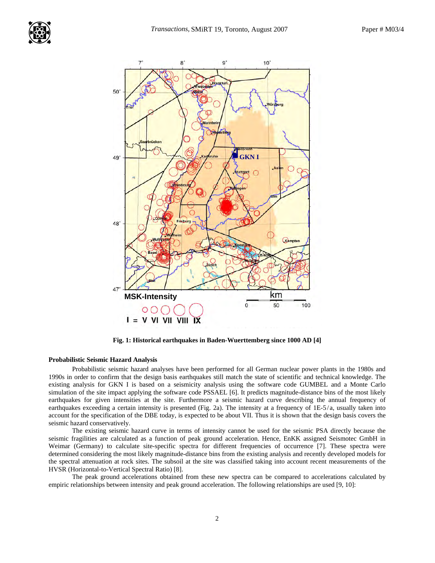

**Fig. 1: Historical earthquakes in Baden-Wuerttemberg since 1000 AD [4]** 

# **Probabilistic Seismic Hazard Analysis**

Probabilistic seismic hazard analyses have been performed for all German nuclear power plants in the 1980s and 1990s in order to confirm that the design basis earthquakes still match the state of scientific and technical knowledge. The existing analysis for GKN I is based on a seismicity analysis using the software code GUMBEL and a Monte Carlo simulation of the site impact applying the software code PSSAEL [6]. It predicts magnitude-distance bins of the most likely earthquakes for given intensities at the site. Furthermore a seismic hazard curve describing the annual frequency of earthquakes exceeding a certain intensity is presented (Fig. 2a). The intensity at a frequency of  $1E-5/a$ , usually taken into account for the specification of the DBE today, is expected to be about VII. Thus it is shown that the design basis covers the seismic hazard conservatively.

The existing seismic hazard curve in terms of intensity cannot be used for the seismic PSA directly because the seismic fragilities are calculated as a function of peak ground acceleration. Hence, EnKK assigned Seismotec GmbH in Weimar (Germany) to calculate site-specific spectra for different frequencies of occurrence [7]. These spectra were determined considering the most likely magnitude-distance bins from the existing analysis and recently developed models for the spectral attenuation at rock sites. The subsoil at the site was classified taking into account recent measurements of the HVSR (Horizontal-to-Vertical Spectral Ratio) [8].

The peak ground accelerations obtained from these new spectra can be compared to accelerations calculated by empiric relationships between intensity and peak ground acceleration. The following relationships are used [9, 10]: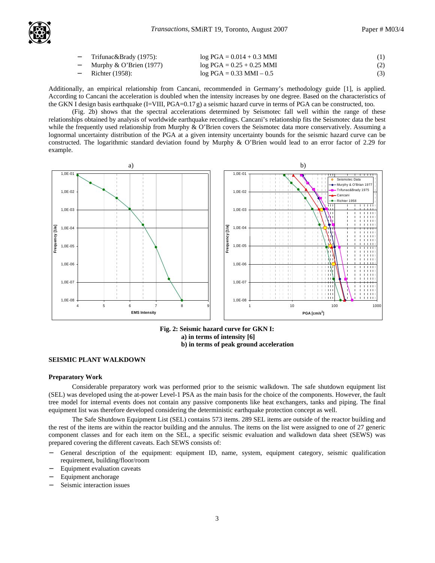

| - Trifunac&Brady (1975):   | $log PGA = 0.014 + 0.3$ MMI  | (1) |
|----------------------------|------------------------------|-----|
| Murphy $\&$ O'Brien (1977) | $log PGA = 0.25 + 0.25$ MMI  | (2) |
| $-$ Richter (1958):        | $log PGA = 0.33$ MMI $- 0.5$ | (3) |

Additionally, an empirical relationship from Cancani, recommended in Germany's methodology guide [1], is applied. According to Cancani the acceleration is doubled when the intensity increases by one degree. Based on the characteristics of the GKN I design basis earthquake (I=VIII, PGA=0.17 g) a seismic hazard curve in terms of PGA can be constructed, too.

(Fig. 2b) shows that the spectral accelerations determined by Seismotec fall well within the range of these relationships obtained by analysis of worldwide earthquake recordings. Cancani's relationship fits the Seismotec data the best while the frequently used relationship from Murphy & O'Brien covers the Seismotec data more conservatively. Assuming a lognormal uncertainty distribution of the PGA at a given intensity uncertainty bounds for the seismic hazard curve can be constructed. The logarithmic standard deviation found by Murphy & O'Brien would lead to an error factor of 2.29 for example.



**Fig. 2: Seismic hazard curve for GKN I: a) in terms of intensity [6] b) in terms of peak ground acceleration** 

# **SEISMIC PLANT WALKDOWN**

#### **Preparatory Work**

Considerable preparatory work was performed prior to the seismic walkdown. The safe shutdown equipment list (SEL) was developed using the at-power Level-1 PSA as the main basis for the choice of the components. However, the fault tree model for internal events does not contain any passive components like heat exchangers, tanks and piping. The final equipment list was therefore developed considering the deterministic earthquake protection concept as well.

The Safe Shutdown Equipment List (SEL) contains 573 items. 289 SEL items are outside of the reactor building and the rest of the items are within the reactor building and the annulus. The items on the list were assigned to one of 27 generic component classes and for each item on the SEL, a specific seismic evaluation and walkdown data sheet (SEWS) was prepared covering the different caveats. Each SEWS consists of:

- − General description of the equipment: equipment ID, name, system, equipment category, seismic qualification requirement, building/floor/room
- Equipment evaluation caveats
- Equipment anchorage
- Seismic interaction issues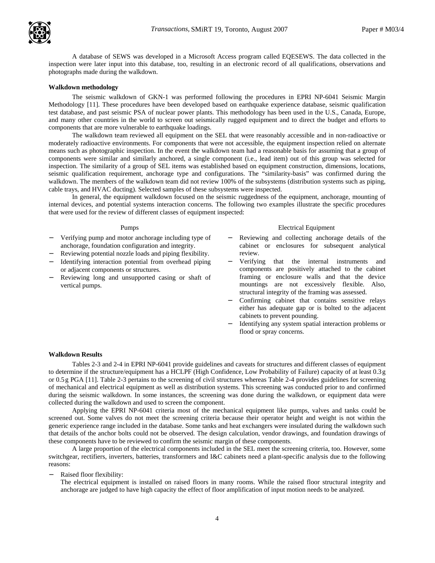

A database of SEWS was developed in a Microsoft Access program called EQESEWS. The data collected in the inspection were later input into this database, too, resulting in an electronic record of all qualifications, observations and photographs made during the walkdown.

### **Walkdown methodology**

The seismic walkdown of GKN-1 was performed following the procedures in EPRI NP-6041 Seismic Margin Methodology [11]. These procedures have been developed based on earthquake experience database, seismic qualification test database, and past seismic PSA of nuclear power plants. This methodology has been used in the U.S., Canada, Europe, and many other countries in the world to screen out seismically rugged equipment and to direct the budget and efforts to components that are more vulnerable to earthquake loadings.

The walkdown team reviewed all equipment on the SEL that were reasonably accessible and in non-radioactive or moderately radioactive environments. For components that were not accessible, the equipment inspection relied on alternate means such as photographic inspection. In the event the walkdown team had a reasonable basis for assuming that a group of components were similar and similarly anchored, a single component (i.e., lead item) out of this group was selected for inspection. The similarity of a group of SEL items was established based on equipment construction, dimensions, locations, seismic qualification requirement, anchorage type and configurations. The "similarity-basis" was confirmed during the walkdown. The members of the walkdown team did not review 100% of the subsystems (distribution systems such as piping, cable trays, and HVAC ducting). Selected samples of these subsystems were inspected.

In general, the equipment walkdown focused on the seismic ruggedness of the equipment, anchorage, mounting of internal devices, and potential systems interaction concerns. The following two examples illustrate the specific procedures that were used for the review of different classes of equipment inspected:

- − Verifying pump and motor anchorage including type of anchorage, foundation configuration and integrity.
- Reviewing potential nozzle loads and piping flexibility.
- Identifying interaction potential from overhead piping or adjacent components or structures.
- Reviewing long and unsupported casing or shaft of vertical pumps.

#### Pumps Electrical Equipment

- − Reviewing and collecting anchorage details of the cabinet or enclosures for subsequent analytical review.
- Verifying that the internal instruments and components are positively attached to the cabinet framing or enclosure walls and that the device mountings are not excessively flexible. Also, structural integrity of the framing was assessed.
- − Confirming cabinet that contains sensitive relays either has adequate gap or is bolted to the adjacent cabinets to prevent pounding.
- − Identifying any system spatial interaction problems or flood or spray concerns.

#### **Walkdown Results**

Tables 2-3 and 2-4 in EPRI NP-6041 provide guidelines and caveats for structures and different classes of equipment to determine if the structure/equipment has a HCLPF (High Confidence, Low Probability of Failure) capacity of at least 0.3g or 0.5g PGA [11]. Table 2-3 pertains to the screening of civil structures whereas Table 2-4 provides guidelines for screening of mechanical and electrical equipment as well as distribution systems. This screening was conducted prior to and confirmed during the seismic walkdown. In some instances, the screening was done during the walkdown, or equipment data were collected during the walkdown and used to screen the component.

Applying the EPRI NP-6041 criteria most of the mechanical equipment like pumps, valves and tanks could be screened out. Some valves do not meet the screening criteria because their operator height and weight is not within the generic experience range included in the database. Some tanks and heat exchangers were insulated during the walkdown such that details of the anchor bolts could not be observed. The design calculation, vendor drawings, and foundation drawings of these components have to be reviewed to confirm the seismic margin of these components.

A large proportion of the electrical components included in the SEL meet the screening criteria, too. However, some switchgear, rectifiers, inverters, batteries, transformers and I&C cabinets need a plant-specific analysis due to the following reasons:

Raised floor flexibility:

The electrical equipment is installed on raised floors in many rooms. While the raised floor structural integrity and anchorage are judged to have high capacity the effect of floor amplification of input motion needs to be analyzed.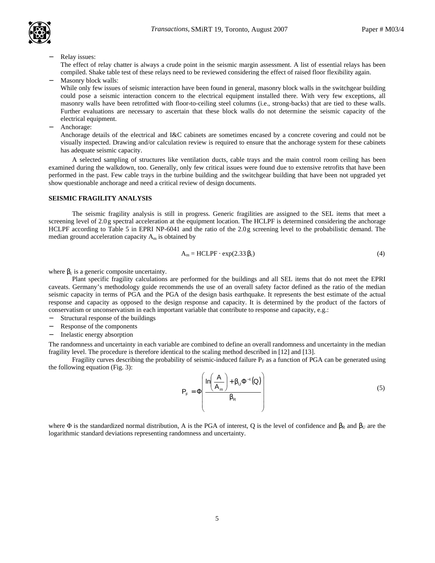

Relay issues:

The effect of relay chatter is always a crude point in the seismic margin assessment. A list of essential relays has been compiled. Shake table test of these relays need to be reviewed considering the effect of raised floor flexibility again.

Masonry block walls:

While only few issues of seismic interaction have been found in general, masonry block walls in the switchgear building could pose a seismic interaction concern to the electrical equipment installed there. With very few exceptions, all masonry walls have been retrofitted with floor-to-ceiling steel columns (i.e., strong-backs) that are tied to these walls. Further evaluations are necessary to ascertain that these block walls do not determine the seismic capacity of the electrical equipment.

− Anchorage:

Anchorage details of the electrical and I&C cabinets are sometimes encased by a concrete covering and could not be visually inspected. Drawing and/or calculation review is required to ensure that the anchorage system for these cabinets has adequate seismic capacity.

A selected sampling of structures like ventilation ducts, cable trays and the main control room ceiling has been examined during the walkdown, too. Generally, only few critical issues were found due to extensive retrofits that have been performed in the past. Few cable trays in the turbine building and the switchgear building that have been not upgraded yet show questionable anchorage and need a critical review of design documents.

### **SEISMIC FRAGILITY ANALYSIS**

The seismic fragility analysis is still in progress. Generic fragilities are assigned to the SEL items that meet a screening level of 2.0g spectral acceleration at the equipment location. The HCLPF is determined considering the anchorage HCLPF according to Table 5 in EPRI NP-6041 and the ratio of the 2.0g screening level to the probabilistic demand. The median ground acceleration capacity  $A_m$  is obtained by

$$
A_m = \text{HCLPF} \cdot \exp(2.33 \, \beta_c) \tag{4}
$$

where  $\beta_c$  is a generic composite uncertainty.

Plant specific fragility calculations are performed for the buildings and all SEL items that do not meet the EPRI caveats. Germany's methodology guide recommends the use of an overall safety factor defined as the ratio of the median seismic capacity in terms of PGA and the PGA of the design basis earthquake. It represents the best estimate of the actual response and capacity as opposed to the design response and capacity. It is determined by the product of the factors of conservatism or unconservatism in each important variable that contribute to response and capacity, e.g.:

- Structural response of the buildings
- Response of the components
- − Inelastic energy absorption

The randomness and uncertainty in each variable are combined to define an overall randomness and uncertainty in the median fragility level. The procedure is therefore identical to the scaling method described in [12] and [13].

Fragility curves describing the probability of seismic-induced failure  $P_F$  as a function of PGA can be generated using the following equation (Fig. 3):

$$
P_{F} = \Phi \left( \frac{\ln \left( \frac{A}{A_{m}} \right) + \beta_{U} \Phi^{-1}(\mathbf{Q})}{\beta_{R}} \right) \tag{5}
$$

where  $\Phi$  is the standardized normal distribution, A is the PGA of interest, Q is the level of confidence and  $\beta_R$  and  $\beta_U$  are the logarithmic standard deviations representing randomness and uncertainty.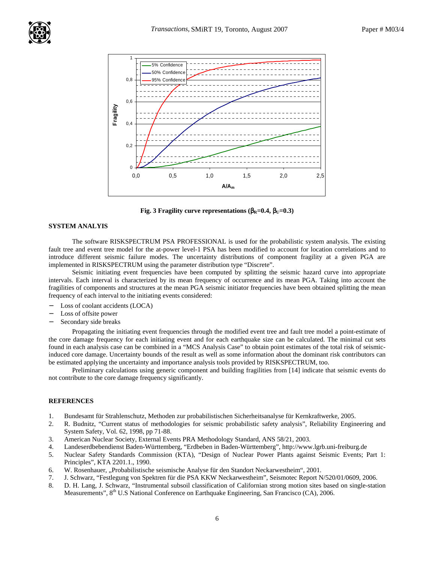

**Fig. 3 Fragility curve representations (** $β_R=0.4$ **,**  $β_U=0.3$ **)** 

# **SYSTEM ANALYIS**

The software RISKSPECTRUM PSA PROFESSIONAL is used for the probabilistic system analysis. The existing fault tree and event tree model for the at-power level-1 PSA has been modified to account for location correlations and to introduce different seismic failure modes. The uncertainty distributions of component fragility at a given PGA are implemented in RISKSPECTRUM using the parameter distribution type "Discrete".

Seismic initiating event frequencies have been computed by splitting the seismic hazard curve into appropriate intervals. Each interval is characterized by its mean frequency of occurrence and its mean PGA. Taking into account the fragilities of components and structures at the mean PGA seismic initiator frequencies have been obtained splitting the mean frequency of each interval to the initiating events considered:

- Loss of coolant accidents (LOCA)
- Loss of offsite power
- Secondary side breaks

Propagating the initiating event frequencies through the modified event tree and fault tree model a point-estimate of the core damage frequency for each initiating event and for each earthquake size can be calculated. The minimal cut sets found in each analysis case can be combined in a "MCS Analysis Case" to obtain point estimates of the total risk of seismicinduced core damage. Uncertainty bounds of the result as well as some information about the dominant risk contributors can be estimated applying the uncertainty and importance analysis tools provided by RISKSPECTRUM, too.

Preliminary calculations using generic component and building fragilities from [14] indicate that seismic events do not contribute to the core damage frequency significantly.

# **REFERENCES**

- 1. Bundesamt für Strahlenschutz, Methoden zur probabilistischen Sicherheitsanalyse für Kernkraftwerke, 2005.
- 2. R. Budnitz, "Current status of methodologies for seismic probabilistic safety analysis", Reliability Engineering and System Safety, Vol. 62, 1998, pp 71-88.
- 3. American Nuclear Society, External Events PRA Methodology Standard, ANS 58/21, 2003.
- 4. Landeserdbebendienst Baden-Württemberg, "Erdbeben in Baden-Württemberg", http://www.lgrb.uni-freiburg.de
- 5. Nuclear Safety Standards Commission (KTA), "Design of Nuclear Power Plants against Seismic Events; Part 1: Principles", KTA 2201.1., 1990.
- 6. W. Rosenhauer, "Probabilistische seismische Analyse für den Standort Neckarwestheim", 2001.
- 7. J. Schwarz, "Festlegung von Spektren für die PSA KKW Neckarwestheim", Seismotec Report N/520/01/0609, 2006.
- 8. D. H. Lang, J. Schwarz, "Instrumental subsoil classification of Californian strong motion sites based on single-station Measurements", 8<sup>th</sup> U.S National Conference on Earthquake Engineering, San Francisco (CA), 2006.